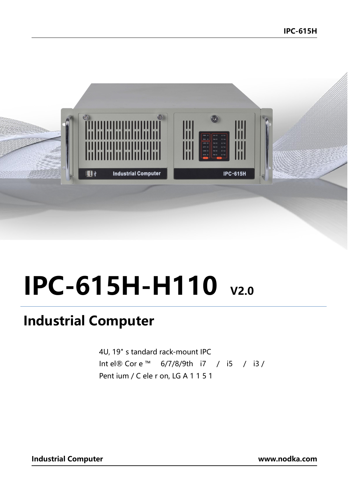

## **IPC-615H-H110** v2.0

## **Industrial Computer**

4U, 19" s tandard rack-mount IPC Intel® Core™ 6/7/8/9th i7 / i5 / i3 / Pent ium / C ele r on, LG A 1 1 5 1

**Industrial Computer** 

www.nodka.com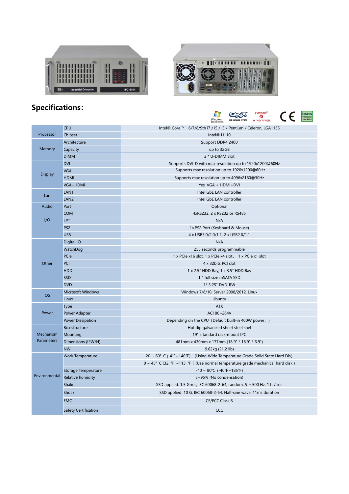



## **Specifications:**



|                         | <b>CPU</b>               | Intel® Core ™ 6/7/8/9th i7 / i5 / i3 / Pentium / Celeron, LGA1155                         |
|-------------------------|--------------------------|-------------------------------------------------------------------------------------------|
| Processor               | Chipset                  | Intel® H110                                                                               |
| Memory                  | Architecture             | Support DDR4 2400                                                                         |
|                         | Capacity                 | up to 32GB                                                                                |
|                         | <b>DIMM</b>              | 2 * U-DIMM Slot                                                                           |
| <b>Display</b>          | <b>DVI</b>               | Supports DVI-D with max resolution up to 1920x1200@60Hz                                   |
|                         | <b>VGA</b>               | Supports max resolution up to 1920x1200@60Hz                                              |
|                         | <b>HDMI</b>              | Supports max resolution up to 4096x2160@30Hz                                              |
|                         | VGA+HDMI                 | Yes, VGA + HDMI+DVI                                                                       |
| Lan                     | LAN1                     | Intel GbE LAN controller                                                                  |
|                         | LAN <sub>2</sub>         | Intel GbE LAN controller                                                                  |
| Audio                   | Port                     | Optional                                                                                  |
| I/O                     | <b>COM</b>               | 4xRS232, 2 x RS232 or RS485                                                               |
|                         | <b>LPT</b>               | N/A                                                                                       |
|                         | PS <sub>2</sub>          | 1×PS2 Port (Keyboard & Mouse)                                                             |
|                         | <b>USB</b>               | 4 x USB3.0/2.0/1.1, 2 x USB2.0/1.1                                                        |
| Other                   | Digital IO               | N/A                                                                                       |
|                         | WatchDog                 | 255 seconds programmable                                                                  |
|                         | PCIe                     | 1 x PCIe x16 slot, 1 x PCIe x4 slot, 1 x PCIe x1 slot                                     |
|                         | <b>PCI</b>               | 4 x 32bits PCI slot                                                                       |
|                         | <b>HDD</b>               | 1 x 2.5" HDD Bay, 1 x 3.5" HDD Bay                                                        |
|                         | <b>SSD</b>               | 1 * full size mSATA SSD                                                                   |
|                         | <b>DVD</b>               | 1* 5.25" DVD-RW                                                                           |
| <b>OS</b>               | <b>Microsoft Windows</b> | Windows 7/8/10, Server 2008/2012, Linux                                                   |
|                         | Linux                    | Ubuntu                                                                                    |
| Power                   | Type                     | <b>ATX</b>                                                                                |
|                         | Power Adapter            | AC180~264V                                                                                |
|                         | <b>Power Dissipation</b> | Depending on the CPU (Default built-in 400W power, )                                      |
| Mechanism<br>Parameters | Box structure            | Hot dip galvanized sheet steel shel                                                       |
|                         | Mounting                 | 19" s tandard rack-mount IPC                                                              |
|                         | Dimensions (L*W*H)       | 481mm x 430mm x 177mm (18.9" * 16.9" * 6.9")                                              |
|                         | <b>NW</b>                | 9.62kg (21.21lb)                                                                          |
| Environmental           | Work Temperature         | -20 ~ 60° C (-4°F~140°F) (Using Wide Temperature Grade Solid State Hard Dis)              |
|                         |                          | $0 \sim 45^{\circ}$ C (32 °F ~113 °F) (Use normal temperature grade mechanical hard disk) |
|                         | Storage Temperature      | $-40 \sim 80^{\circ}$ C ( $-40^{\circ}$ F ~ 185°F)                                        |
|                         | <b>Relative humidity</b> | 5~95% (No condensation)                                                                   |
|                         | Shake                    | SSD applied: 1.5 Grms, IEC 60068-2-64, random, $5 \sim 500$ Hz, 1 hr/axis                 |
|                         | <b>Shock</b>             | SSD applied: 10 G, IEC 60068-2-64, Half-sine wave, 11ms duration                          |
|                         | <b>EMC</b>               | <b>CE/FCC Class B</b>                                                                     |
|                         | Safety Certification     | CCC                                                                                       |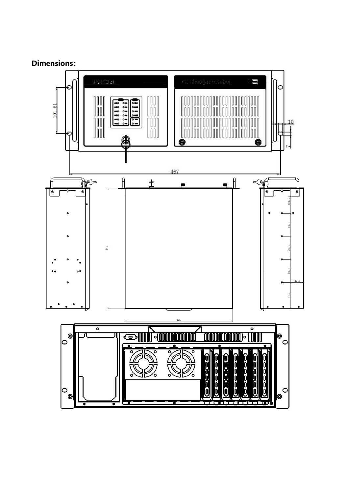